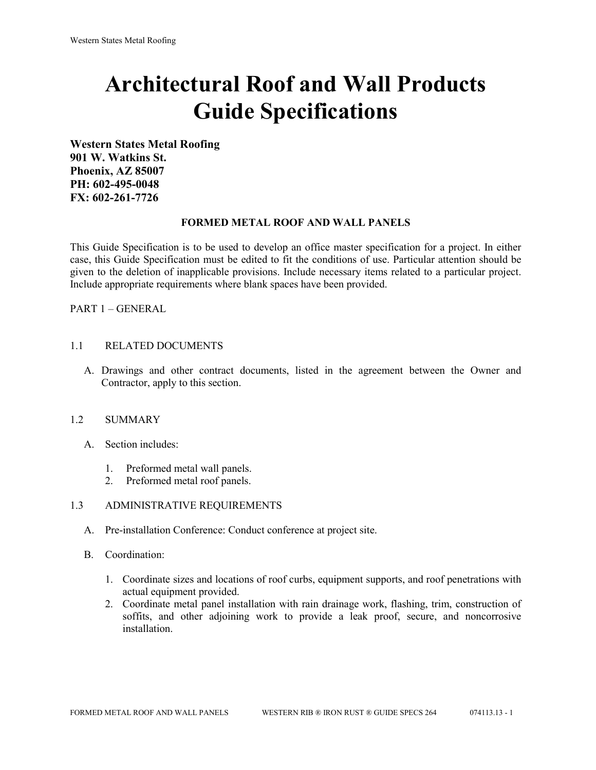# **Architectural Roof and Wall Products Guide Specifications**

**Western States Metal Roofing 901 W. Watkins St. Phoenix, AZ 85007 PH: 602-495-0048 FX: 602-261-7726**

### **FORMED METAL ROOF AND WALL PANELS**

This Guide Specification is to be used to develop an office master specification for a project. In either case, this Guide Specification must be edited to fit the conditions of use. Particular attention should be given to the deletion of inapplicable provisions. Include necessary items related to a particular project. Include appropriate requirements where blank spaces have been provided.

PART 1 – GENERAL

### 1.1 RELATED DOCUMENTS

A. Drawings and other contract documents, listed in the agreement between the Owner and Contractor, apply to this section.

#### 1.2 SUMMARY

- A. Section includes:
	- 1. Preformed metal wall panels.
	- 2. Preformed metal roof panels.

#### 1.3 ADMINISTRATIVE REQUIREMENTS

- A. Pre-installation Conference: Conduct conference at project site.
- B. Coordination:
	- 1. Coordinate sizes and locations of roof curbs, equipment supports, and roof penetrations with actual equipment provided.
	- 2. Coordinate metal panel installation with rain drainage work, flashing, trim, construction of soffits, and other adjoining work to provide a leak proof, secure, and noncorrosive installation.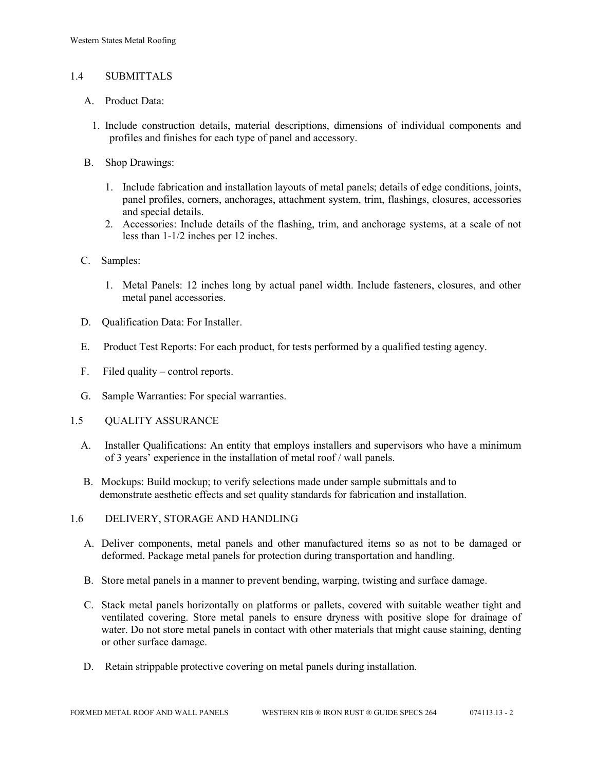## 1.4 SUBMITTALS

- A. Product Data:
	- 1. Include construction details, material descriptions, dimensions of individual components and profiles and finishes for each type of panel and accessory.
- B. Shop Drawings:
	- 1. Include fabrication and installation layouts of metal panels; details of edge conditions, joints, panel profiles, corners, anchorages, attachment system, trim, flashings, closures, accessories and special details.
	- 2. Accessories: Include details of the flashing, trim, and anchorage systems, at a scale of not less than 1-1/2 inches per 12 inches.
- C. Samples:
	- 1. Metal Panels: 12 inches long by actual panel width. Include fasteners, closures, and other metal panel accessories.
- D. Qualification Data: For Installer.
- E. Product Test Reports: For each product, for tests performed by a qualified testing agency.
- F. Filed quality control reports.
- G. Sample Warranties: For special warranties.
- 1.5 QUALITY ASSURANCE
	- A. Installer Qualifications: An entity that employs installers and supervisors who have a minimum of 3 years' experience in the installation of metal roof / wall panels.
	- B. Mockups: Build mockup; to verify selections made under sample submittals and to demonstrate aesthetic effects and set quality standards for fabrication and installation.
- 1.6 DELIVERY, STORAGE AND HANDLING
	- A. Deliver components, metal panels and other manufactured items so as not to be damaged or deformed. Package metal panels for protection during transportation and handling.
	- B. Store metal panels in a manner to prevent bending, warping, twisting and surface damage.
	- C. Stack metal panels horizontally on platforms or pallets, covered with suitable weather tight and ventilated covering. Store metal panels to ensure dryness with positive slope for drainage of water. Do not store metal panels in contact with other materials that might cause staining, denting or other surface damage.
	- D. Retain strippable protective covering on metal panels during installation.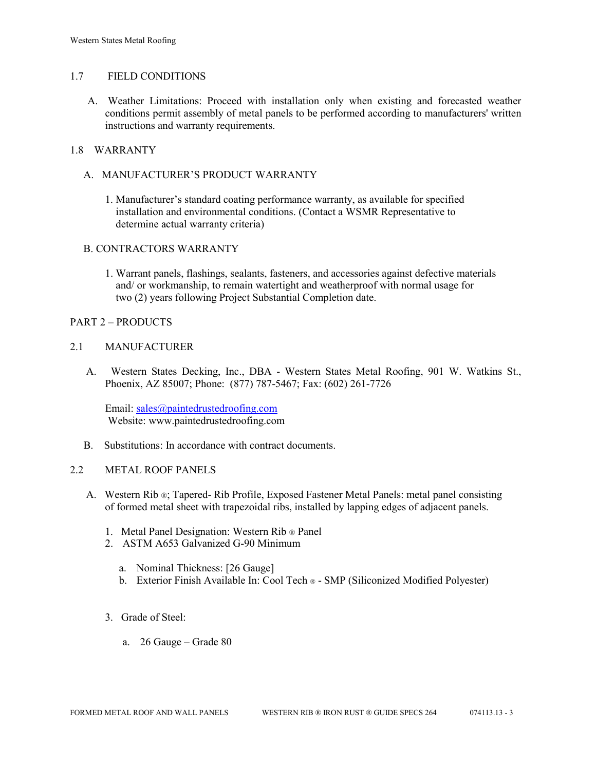## 1.7 FIELD CONDITIONS

A. Weather Limitations: Proceed with installation only when existing and forecasted weather conditions permit assembly of metal panels to be performed according to manufacturers' written instructions and warranty requirements.

## 1.8 WARRANTY

- A. MANUFACTURER'S PRODUCT WARRANTY
	- 1. Manufacturer's standard coating performance warranty, as available for specified installation and environmental conditions. (Contact a WSMR Representative to determine actual warranty criteria)

### B. CONTRACTORS WARRANTY

1. Warrant panels, flashings, sealants, fasteners, and accessories against defective materials and/ or workmanship, to remain watertight and weatherproof with normal usage for two (2) years following Project Substantial Completion date.

### PART 2 – PRODUCTS

### 2.1 MANUFACTURER

 A. Western States Decking, Inc., DBA - Western States Metal Roofing, 901 W. Watkins St., Phoenix, AZ 85007; Phone: (877) 787-5467; Fax: (602) 261-7726

Email: [sales@paintedrustedroofing.com](mailto:sales@paintedrustedroofing.com) Website: www.paintedrustedroofing.com

B. Substitutions: In accordance with contract documents.

#### 2.2 METAL ROOF PANELS

- A. Western Rib ®; Tapered- Rib Profile, Exposed Fastener Metal Panels: metal panel consisting of formed metal sheet with trapezoidal ribs, installed by lapping edges of adjacent panels.
	- 1. Metal Panel Designation: Western Rib ® Panel
	- 2. ASTM A653 Galvanized G-90 Minimum
		- a. Nominal Thickness: [26 Gauge]
		- b. Exterior Finish Available In: Cool Tech ® SMP (Siliconized Modified Polyester)
	- 3. Grade of Steel:
		- a. 26 Gauge Grade 80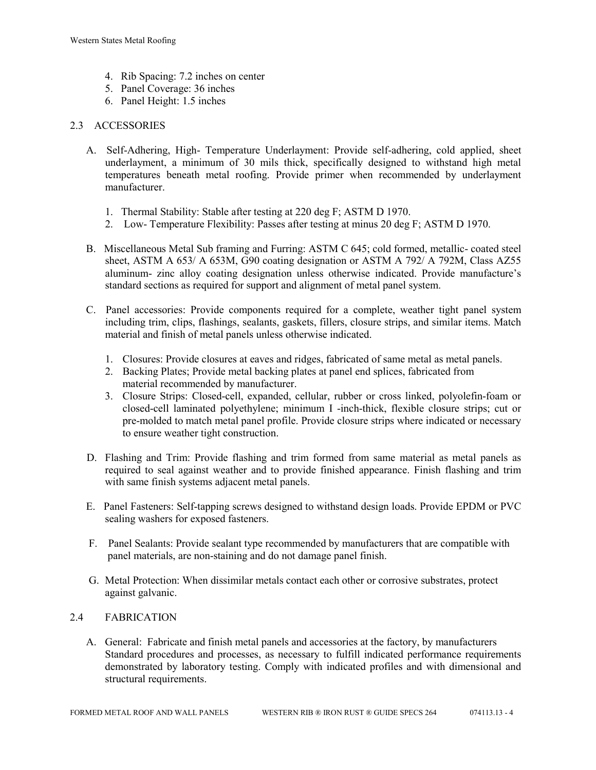- 4. Rib Spacing: 7.2 inches on center
- 5. Panel Coverage: 36 inches
- 6. Panel Height: 1.5 inches

## 2.3 ACCESSORIES

- A. Self-Adhering, High- Temperature Underlayment: Provide self-adhering, cold applied, sheet underlayment, a minimum of 30 mils thick, specifically designed to withstand high metal temperatures beneath metal roofing. Provide primer when recommended by underlayment manufacturer.
	- 1. Thermal Stability: Stable after testing at 220 deg F; ASTM D 1970.
	- 2. Low- Temperature Flexibility: Passes after testing at minus 20 deg F; ASTM D 1970.
- B. Miscellaneous Metal Sub framing and Furring: ASTM C 645; cold formed, metallic- coated steel sheet, ASTM A 653/ A 653M, G90 coating designation or ASTM A 792/ A 792M, Class AZ55 aluminum- zinc alloy coating designation unless otherwise indicated. Provide manufacture's standard sections as required for support and alignment of metal panel system.
- C. Panel accessories: Provide components required for a complete, weather tight panel system including trim, clips, flashings, sealants, gaskets, fillers, closure strips, and similar items. Match material and finish of metal panels unless otherwise indicated.
	- 1. Closures: Provide closures at eaves and ridges, fabricated of same metal as metal panels.
	- 2. Backing Plates; Provide metal backing plates at panel end splices, fabricated from material recommended by manufacturer.
	- 3. Closure Strips: Closed-cell, expanded, cellular, rubber or cross linked, polyolefin-foam or closed-cell laminated polyethylene; minimum I -inch-thick, flexible closure strips; cut or pre-molded to match metal panel profile. Provide closure strips where indicated or necessary to ensure weather tight construction.
- D. Flashing and Trim: Provide flashing and trim formed from same material as metal panels as required to seal against weather and to provide finished appearance. Finish flashing and trim with same finish systems adjacent metal panels.
- E. Panel Fasteners: Self-tapping screws designed to withstand design loads. Provide EPDM or PVC sealing washers for exposed fasteners.
- F. Panel Sealants: Provide sealant type recommended by manufacturers that are compatible with panel materials, are non-staining and do not damage panel finish.
- G. Metal Protection: When dissimilar metals contact each other or corrosive substrates, protect against galvanic.

## 2.4 FABRICATION

 A. General: Fabricate and finish metal panels and accessories at the factory, by manufacturers Standard procedures and processes, as necessary to fulfill indicated performance requirements demonstrated by laboratory testing. Comply with indicated profiles and with dimensional and structural requirements.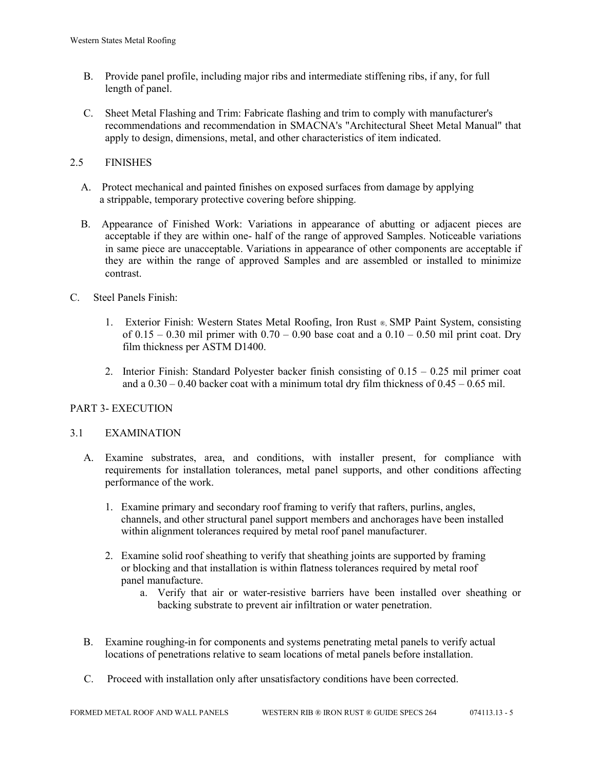- B. Provide panel profile, including major ribs and intermediate stiffening ribs, if any, for full length of panel.
- C. Sheet Metal Flashing and Trim: Fabricate flashing and trim to comply with manufacturer's recommendations and recommendation in SMACNA's "Architectural Sheet Metal Manual" that apply to design, dimensions, metal, and other characteristics of item indicated.

## 2.5 FINISHES

- A. Protect mechanical and painted finishes on exposed surfaces from damage by applying a strippable, temporary protective covering before shipping.
- B. Appearance of Finished Work: Variations in appearance of abutting or adjacent pieces are acceptable if they are within one- half of the range of approved Samples. Noticeable variations in same piece are unacceptable. Variations in appearance of other components are acceptable if they are within the range of approved Samples and are assembled or installed to minimize contrast.
- C. Steel Panels Finish:
	- 1. Exterior Finish: Western States Metal Roofing, Iron Rust ®, SMP Paint System, consisting of  $0.15 - 0.30$  mil primer with  $0.70 - 0.90$  base coat and a  $0.10 - 0.50$  mil print coat. Dry film thickness per ASTM D1400.
	- 2. Interior Finish: Standard Polyester backer finish consisting of 0.15 0.25 mil primer coat and a  $0.30 - 0.40$  backer coat with a minimum total dry film thickness of  $0.45 - 0.65$  mil.

## PART 3- EXECUTION

## 3.1 EXAMINATION

- A. Examine substrates, area, and conditions, with installer present, for compliance with requirements for installation tolerances, metal panel supports, and other conditions affecting performance of the work.
	- 1. Examine primary and secondary roof framing to verify that rafters, purlins, angles, channels, and other structural panel support members and anchorages have been installed within alignment tolerances required by metal roof panel manufacturer.
	- 2. Examine solid roof sheathing to verify that sheathing joints are supported by framing or blocking and that installation is within flatness tolerances required by metal roof panel manufacture.
		- a. Verify that air or water-resistive barriers have been installed over sheathing or backing substrate to prevent air infiltration or water penetration.
- B. Examine roughing-in for components and systems penetrating metal panels to verify actual locations of penetrations relative to seam locations of metal panels before installation.
- C. Proceed with installation only after unsatisfactory conditions have been corrected.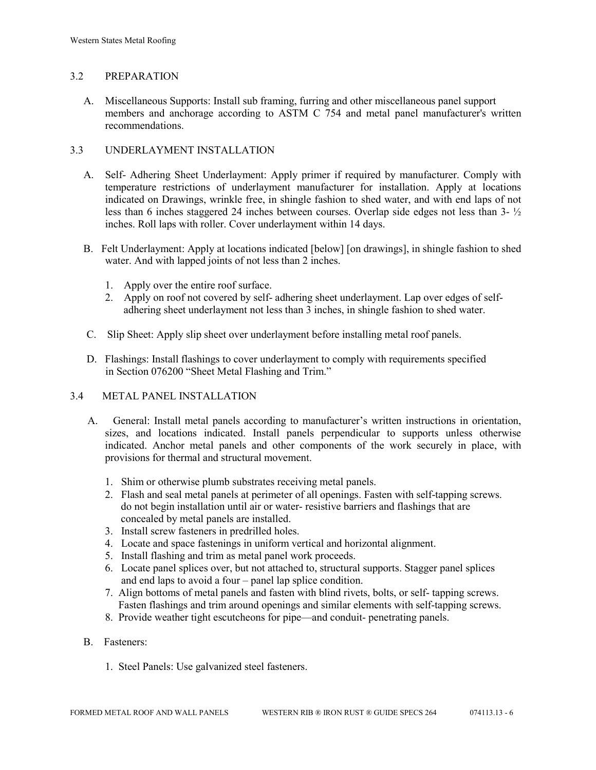## 3.2 PREPARATION

 A. Miscellaneous Supports: Install sub framing, furring and other miscellaneous panel support members and anchorage according to ASTM C 754 and metal panel manufacturer's written recommendations.

## 3.3 UNDERLAYMENT INSTALLATION

- A. Self- Adhering Sheet Underlayment: Apply primer if required by manufacturer. Comply with temperature restrictions of underlayment manufacturer for installation. Apply at locations indicated on Drawings, wrinkle free, in shingle fashion to shed water, and with end laps of not less than 6 inches staggered 24 inches between courses. Overlap side edges not less than 3- ½ inches. Roll laps with roller. Cover underlayment within 14 days.
- B. Felt Underlayment: Apply at locations indicated [below] [on drawings], in shingle fashion to shed water. And with lapped joints of not less than 2 inches.
	- 1. Apply over the entire roof surface.
	- 2. Apply on roof not covered by self- adhering sheet underlayment. Lap over edges of self adhering sheet underlayment not less than 3 inches, in shingle fashion to shed water.
- C. Slip Sheet: Apply slip sheet over underlayment before installing metal roof panels.
- D. Flashings: Install flashings to cover underlayment to comply with requirements specified in Section 076200 "Sheet Metal Flashing and Trim."

## 3.4 METAL PANEL INSTALLATION

- A. General: Install metal panels according to manufacturer's written instructions in orientation, sizes, and locations indicated. Install panels perpendicular to supports unless otherwise indicated. Anchor metal panels and other components of the work securely in place, with provisions for thermal and structural movement.
	- 1. Shim or otherwise plumb substrates receiving metal panels.
	- 2. Flash and seal metal panels at perimeter of all openings. Fasten with self-tapping screws. do not begin installation until air or water- resistive barriers and flashings that are concealed by metal panels are installed.
	- 3. Install screw fasteners in predrilled holes.
	- 4. Locate and space fastenings in uniform vertical and horizontal alignment.
	- 5. Install flashing and trim as metal panel work proceeds.
	- 6. Locate panel splices over, but not attached to, structural supports. Stagger panel splices and end laps to avoid a four – panel lap splice condition.
	- 7. Align bottoms of metal panels and fasten with blind rivets, bolts, or self- tapping screws. Fasten flashings and trim around openings and similar elements with self-tapping screws.
	- 8. Provide weather tight escutcheons for pipe—and conduit- penetrating panels.
- B. Fasteners:
	- 1. Steel Panels: Use galvanized steel fasteners.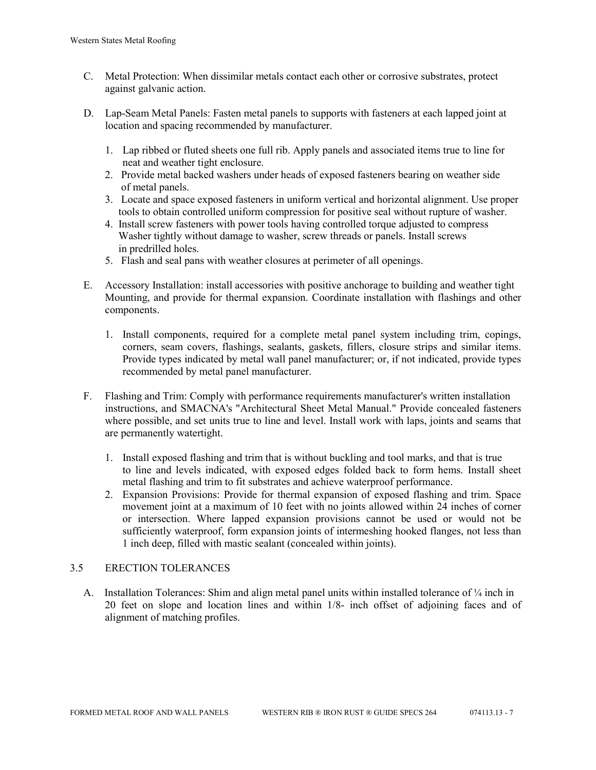- C. Metal Protection: When dissimilar metals contact each other or corrosive substrates, protect against galvanic action.
- D. Lap-Seam Metal Panels: Fasten metal panels to supports with fasteners at each lapped joint at location and spacing recommended by manufacturer.
	- 1. Lap ribbed or fluted sheets one full rib. Apply panels and associated items true to line for neat and weather tight enclosure.
	- 2. Provide metal backed washers under heads of exposed fasteners bearing on weather side of metal panels.
	- 3. Locate and space exposed fasteners in uniform vertical and horizontal alignment. Use proper tools to obtain controlled uniform compression for positive seal without rupture of washer.
	- 4. Install screw fasteners with power tools having controlled torque adjusted to compress Washer tightly without damage to washer, screw threads or panels. Install screws in predrilled holes.
	- 5. Flash and seal pans with weather closures at perimeter of all openings.
- E. Accessory Installation: install accessories with positive anchorage to building and weather tight Mounting, and provide for thermal expansion. Coordinate installation with flashings and other components.
	- 1. Install components, required for a complete metal panel system including trim, copings, corners, seam covers, flashings, sealants, gaskets, fillers, closure strips and similar items. Provide types indicated by metal wall panel manufacturer; or, if not indicated, provide types recommended by metal panel manufacturer.
- F. Flashing and Trim: Comply with performance requirements manufacturer's written installation instructions, and SMACNA's "Architectural Sheet Metal Manual." Provide concealed fasteners where possible, and set units true to line and level. Install work with laps, joints and seams that are permanently watertight.
	- 1. Install exposed flashing and trim that is without buckling and tool marks, and that is true to line and levels indicated, with exposed edges folded back to form hems. Install sheet metal flashing and trim to fit substrates and achieve waterproof performance.
	- 2. Expansion Provisions: Provide for thermal expansion of exposed flashing and trim. Space movement joint at a maximum of 10 feet with no joints allowed within 24 inches of corner or intersection. Where lapped expansion provisions cannot be used or would not be sufficiently waterproof, form expansion joints of intermeshing hooked flanges, not less than 1 inch deep, filled with mastic sealant (concealed within joints).

## 3.5 ERECTION TOLERANCES

A. Installation Tolerances: Shim and align metal panel units within installed tolerance of  $\frac{1}{4}$  inch in 20 feet on slope and location lines and within 1/8- inch offset of adjoining faces and of alignment of matching profiles.